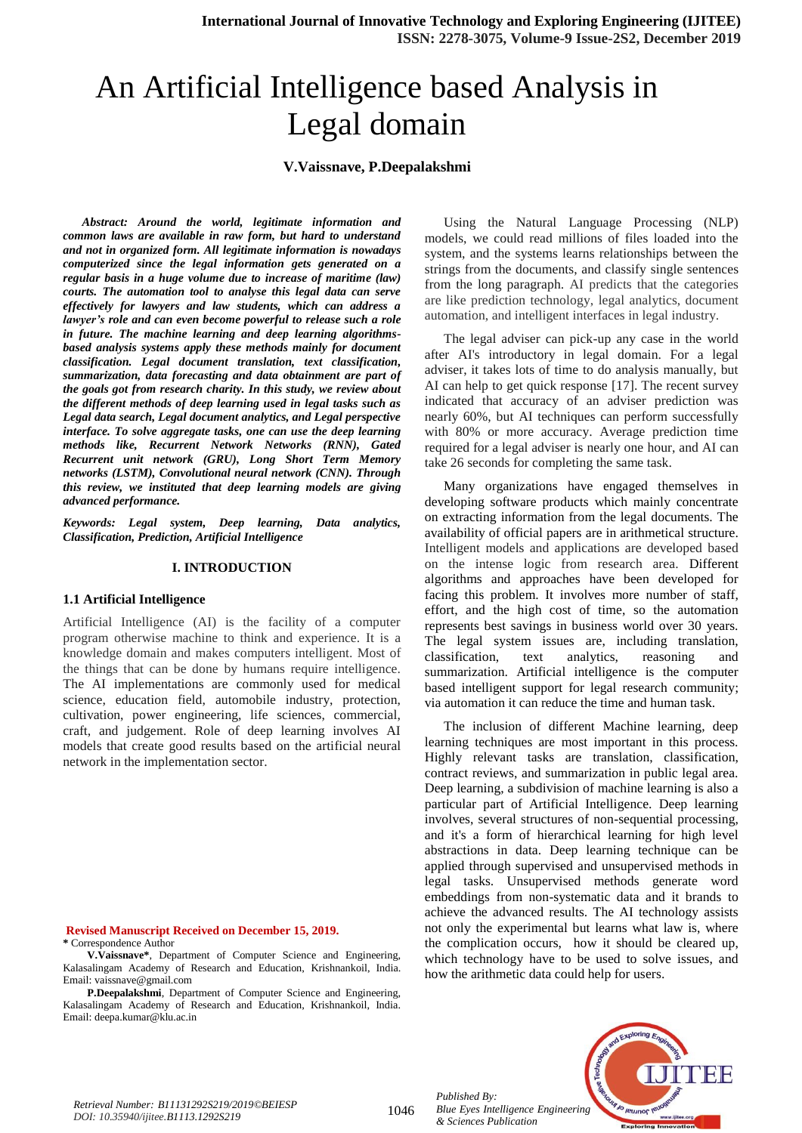# An Artificial Intelligence based Analysis in Legal domain

### **V.Vaissnave, P.Deepalakshmi**

*Abstract: Around the world, legitimate information and common laws are available in raw form, but hard to understand and not in organized form. All legitimate information is nowadays computerized since the legal information gets generated on a regular basis in a huge volume due to increase of maritime (law) courts. The automation tool to analyse this legal data can serve effectively for lawyers and law students, which can address a lawyer's role and can even become powerful to release such a role in future. The machine learning and deep learning algorithmsbased analysis systems apply these methods mainly for document classification. Legal document translation, text classification, summarization, data forecasting and data obtainment are part of the goals got from research charity. In this study, we review about the different methods of deep learning used in legal tasks such as Legal data search, Legal document analytics, and Legal perspective interface. To solve aggregate tasks, one can use the deep learning methods like, Recurrent Network Networks (RNN), Gated Recurrent unit network (GRU), Long Short Term Memory networks (LSTM), Convolutional neural network (CNN). Through this review, we instituted that deep learning models are giving advanced performance.*

*Keywords: Legal system, Deep learning, Data analytics, Classification, Prediction, Artificial Intelligence*

#### **I. INTRODUCTION**

#### **1.1 Artificial Intelligence**

Artificial Intelligence (AI) is the facility of a computer program otherwise machine to think and experience. It is a knowledge domain and makes computers intelligent. Most of the things that can be done by humans require intelligence. The AI implementations are commonly used for medical science, education field, automobile industry, protection, cultivation, power engineering, life sciences, commercial, craft, and judgement. Role of deep learning involves AI models that create good results based on the artificial neural network in the implementation sector.

**Revised Manuscript Received on December 15, 2019. \*** Correspondence Author

**V.Vaissnave\***, Department of Computer Science and Engineering, Kalasalingam Academy of Research and Education, Krishnankoil, India. Email: vaissnave@gmail.com

**P.Deepalakshmi**, Department of Computer Science and Engineering, Kalasalingam Academy of Research and Education, Krishnankoil, India. Email: deepa.kumar@klu.ac.in

Using the Natural Language Processing (NLP) models, we could read millions of files loaded into the system, and the systems learns relationships between the strings from the documents, and classify single sentences from the long paragraph. AI predicts that the categories are like prediction technology, legal analytics, document automation, and intelligent interfaces in legal industry.

The legal adviser can pick-up any case in the world after AI's introductory in legal domain. For a legal adviser, it takes lots of time to do analysis manually, but AI can help to get quick response [17]. The recent survey indicated that accuracy of an adviser prediction was nearly 60%, but AI techniques can perform successfully with 80% or more accuracy. Average prediction time required for a legal adviser is nearly one hour, and AI can take 26 seconds for completing the same task.

Many organizations have engaged themselves in developing software products which mainly concentrate on extracting information from the legal documents. The availability of official papers are in arithmetical structure. Intelligent models and applications are developed based on the intense logic from research area. Different algorithms and approaches have been developed for facing this problem. It involves more number of staff, effort, and the high cost of time, so the automation represents best savings in business world over 30 years. The legal system issues are, including translation, classification, text analytics, reasoning and summarization. Artificial intelligence is the computer based intelligent support for legal research community; via automation it can reduce the time and human task.

The inclusion of different Machine learning, deep learning techniques are most important in this process. Highly relevant tasks are translation, classification, contract reviews, and summarization in public legal area. Deep learning, a subdivision of machine learning is also a particular part of Artificial Intelligence. Deep learning involves, several structures of non-sequential processing, and it's a form of hierarchical learning for high level abstractions in data. Deep learning technique can be applied through supervised and unsupervised methods in legal tasks. Unsupervised methods generate word embeddings from non-systematic data and it brands to achieve the advanced results. The AI technology assists not only the experimental but learns what law is, where the complication occurs, how it should be cleared up, which technology have to be used to solve issues, and how the arithmetic data could help for users.

*Published By: Blue Eyes Intelligence Engineering & Sciences Publication* 

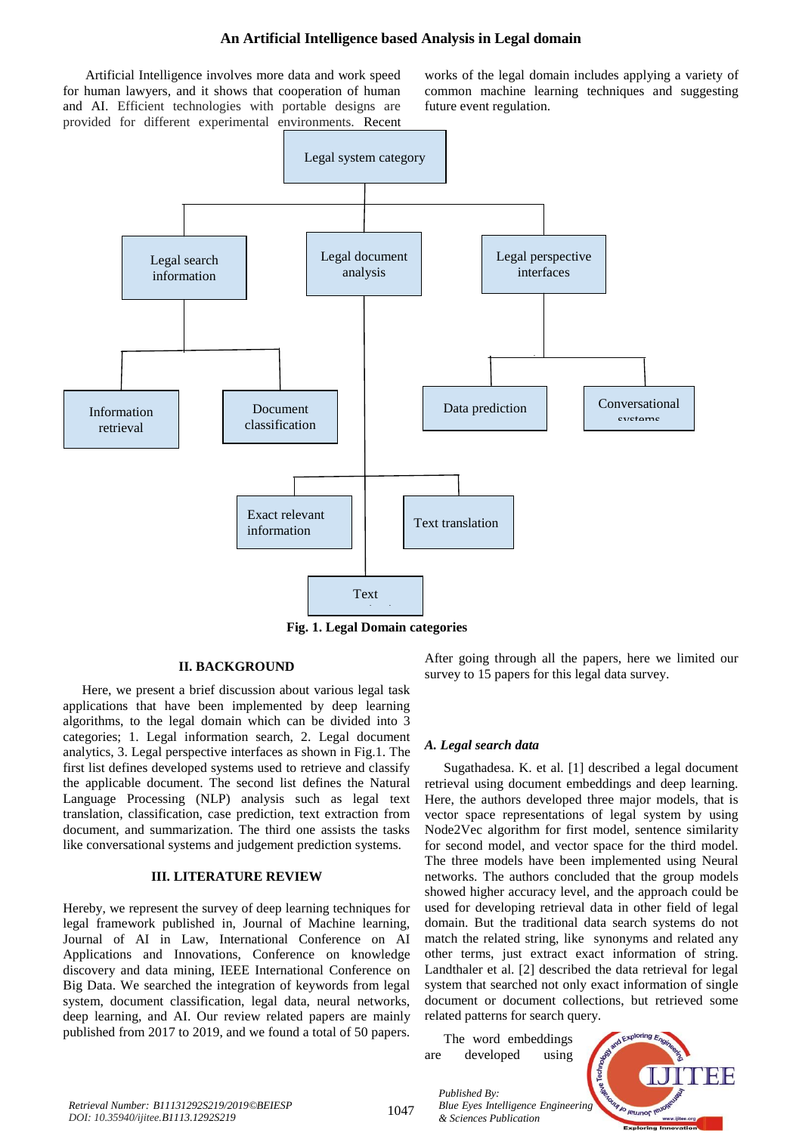#### **An Artificial Intelligence based Analysis in Legal domain**

Artificial Intelligence involves more data and work speed for human lawyers, and it shows that cooperation of human and AI. Efficient technologies with portable designs are provided for different experimental environments. Recent works of the legal domain includes applying a variety of common machine learning techniques and suggesting future event regulation.



**Fig. 1. Legal Domain categories**

#### **II. BACKGROUND**

Here, we present a brief discussion about various legal task applications that have been implemented by deep learning algorithms, to the legal domain which can be divided into 3 categories; 1. Legal information search, 2. Legal document analytics, 3. Legal perspective interfaces as shown in Fig.1. The first list defines developed systems used to retrieve and classify the applicable document. The second list defines the Natural Language Processing (NLP) analysis such as legal text translation, classification, case prediction, text extraction from document, and summarization. The third one assists the tasks like conversational systems and judgement prediction systems.

## **III. LITERATURE REVIEW**

Hereby, we represent the survey of deep learning techniques for legal framework published in, Journal of Machine learning, Journal of AI in Law, International Conference on AI Applications and Innovations, Conference on knowledge discovery and data mining, IEEE International Conference on Big Data. We searched the integration of keywords from legal system, document classification, legal data, neural networks, deep learning, and AI. Our review related papers are mainly published from 2017 to 2019, and we found a total of 50 papers.

After going through all the papers, here we limited our survey to 15 papers for this legal data survey.

#### *A. Legal search data*

Sugathadesa. K. et al. [1] described a legal document retrieval using document embeddings and deep learning. Here, the authors developed three major models, that is vector space representations of legal system by using Node2Vec algorithm for first model, sentence similarity for second model, and vector space for the third model. The three models have been implemented using Neural networks. The authors concluded that the group models showed higher accuracy level, and the approach could be used for developing retrieval data in other field of legal domain. But the traditional data search systems do not match the related string, like synonyms and related any other terms, just extract exact information of string. Landthaler et al. [2] described the data retrieval for legal system that searched not only exact information of single document or document collections, but retrieved some related patterns for search query.

The word embeddings are developed using

*Published By:*

*& Sciences Publication* 



1047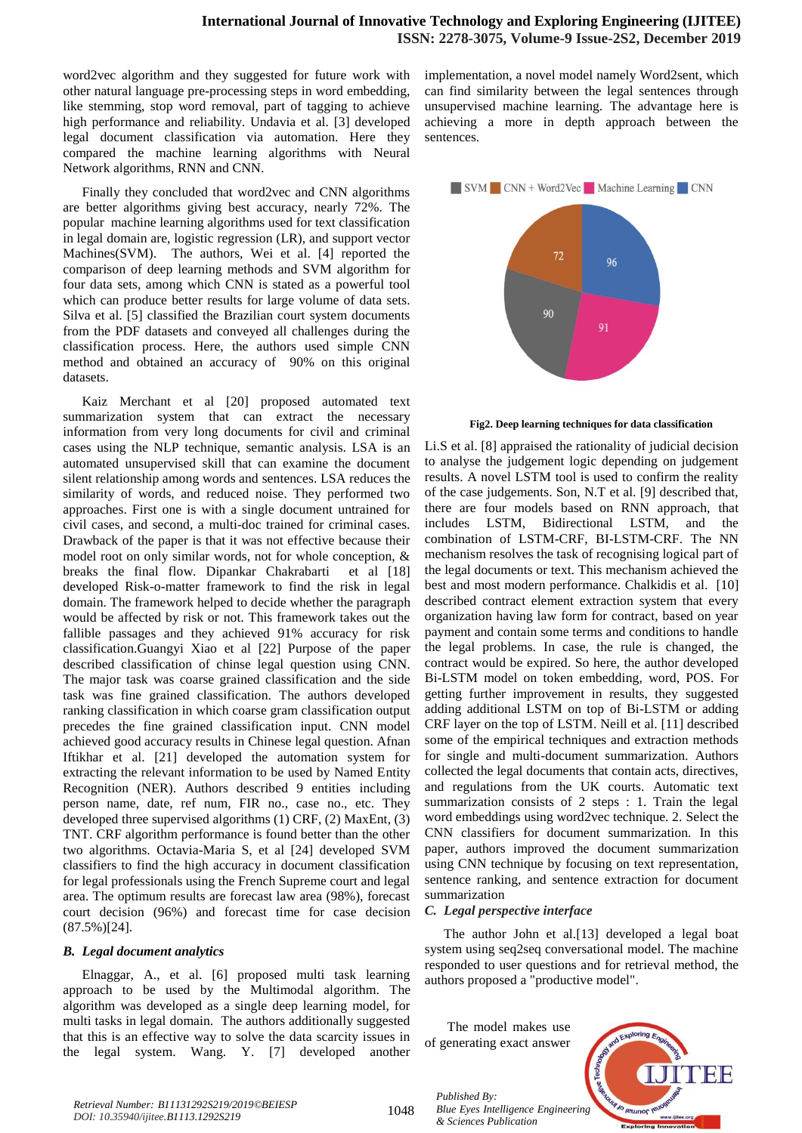word2vec algorithm and they suggested for future work with other natural language pre-processing steps in word embedding, like stemming, stop word removal, part of tagging to achieve high performance and reliability. Undavia et al. [3] developed legal document classification via automation. Here they compared the machine learning algorithms with Neural Network algorithms, RNN and CNN.

Finally they concluded that word2vec and CNN algorithms are better algorithms giving best accuracy, nearly 72%. The popular machine learning algorithms used for text classification in legal domain are, logistic regression (LR), and support vector Machines(SVM). The authors, Wei et al. [4] reported the comparison of deep learning methods and SVM algorithm for four data sets, among which CNN is stated as a powerful tool which can produce better results for large volume of data sets. Silva et al. [5] classified the Brazilian court system documents from the PDF datasets and conveyed all challenges during the classification process. Here, the authors used simple CNN method and obtained an accuracy of 90% on this original datasets.

Kaiz Merchant et al [20] proposed automated text summarization system that can extract the necessary information from very long documents for civil and criminal cases using the NLP technique, semantic analysis. LSA is an automated unsupervised skill that can examine the document silent relationship among words and sentences. LSA reduces the similarity of words, and reduced noise. They performed two approaches. First one is with a single document untrained for civil cases, and second, a multi-doc trained for criminal cases. Drawback of the paper is that it was not effective because their model root on only similar words, not for whole conception, & breaks the final flow. Dipankar Chakrabarti et al [18] developed Risk-o-matter framework to find the risk in legal domain. The framework helped to decide whether the paragraph would be affected by risk or not. This framework takes out the fallible passages and they achieved 91% accuracy for risk classification.Guangyi Xiao et al [22] Purpose of the paper described classification of chinse legal question using CNN. The major task was coarse grained classification and the side task was fine grained classification. The authors developed ranking classification in which coarse gram classification output precedes the fine grained classification input. CNN model achieved good accuracy results in Chinese legal question. Afnan Iftikhar et al. [21] developed the automation system for extracting the relevant information to be used by Named Entity Recognition (NER). Authors described 9 entities including person name, date, ref num, FIR no., case no., etc. They developed three supervised algorithms (1) CRF, (2) MaxEnt, (3) TNT. CRF algorithm performance is found better than the other two algorithms. Octavia-Maria S, et al [24] developed SVM classifiers to find the high accuracy in document classification for legal professionals using the French Supreme court and legal area. The optimum results are forecast law area (98%), forecast court decision (96%) and forecast time for case decision (87.5%)[24].

#### *B. Legal document analytics*

Elnaggar, A., et al. [6] proposed multi task learning approach to be used by the Multimodal algorithm. The algorithm was developed as a single deep learning model, for multi tasks in legal domain. The authors additionally suggested that this is an effective way to solve the data scarcity issues in the legal system. Wang. Y. [7] developed another implementation, a novel model namely Word2sent, which can find similarity between the legal sentences through unsupervised machine learning. The advantage here is achieving a more in depth approach between the sentences.



**Fig2. Deep learning techniques for data classification**

Li.S et al. [8] appraised the rationality of judicial decision to analyse the judgement logic depending on judgement results. A novel LSTM tool is used to confirm the reality of the case judgements. Son, N.T et al. [9] described that, there are four models based on RNN approach, that includes LSTM, Bidirectional LSTM, and the combination of LSTM-CRF, BI-LSTM-CRF. The NN mechanism resolves the task of recognising logical part of the legal documents or text. This mechanism achieved the best and most modern performance. Chalkidis et al. [10] described contract element extraction system that every organization having law form for contract, based on year payment and contain some terms and conditions to handle the legal problems. In case, the rule is changed, the contract would be expired. So here, the author developed Bi-LSTM model on token embedding, word, POS. For getting further improvement in results, they suggested adding additional LSTM on top of Bi-LSTM or adding CRF layer on the top of LSTM. Neill et al. [11] described some of the empirical techniques and extraction methods for single and multi-document summarization. Authors collected the legal documents that contain acts, directives, and regulations from the UK courts. Automatic text summarization consists of 2 steps : 1. Train the legal word embeddings using word2vec technique. 2. Select the CNN classifiers for document summarization. In this paper, authors improved the document summarization using CNN technique by focusing on text representation, sentence ranking, and sentence extraction for document summarization

#### *C. Legal perspective interface*

The author John et al.[13] developed a legal boat system using seq2seq conversational model. The machine responded to user questions and for retrieval method, the authors proposed a "productive model".

The model makes use of generating exact answer

*Published By:*

*& Sciences Publication* 



1048 *Retrieval Number: B11131292S219/2019©BEIESP DOI: 10.35940/ijitee.B1113.1292S219*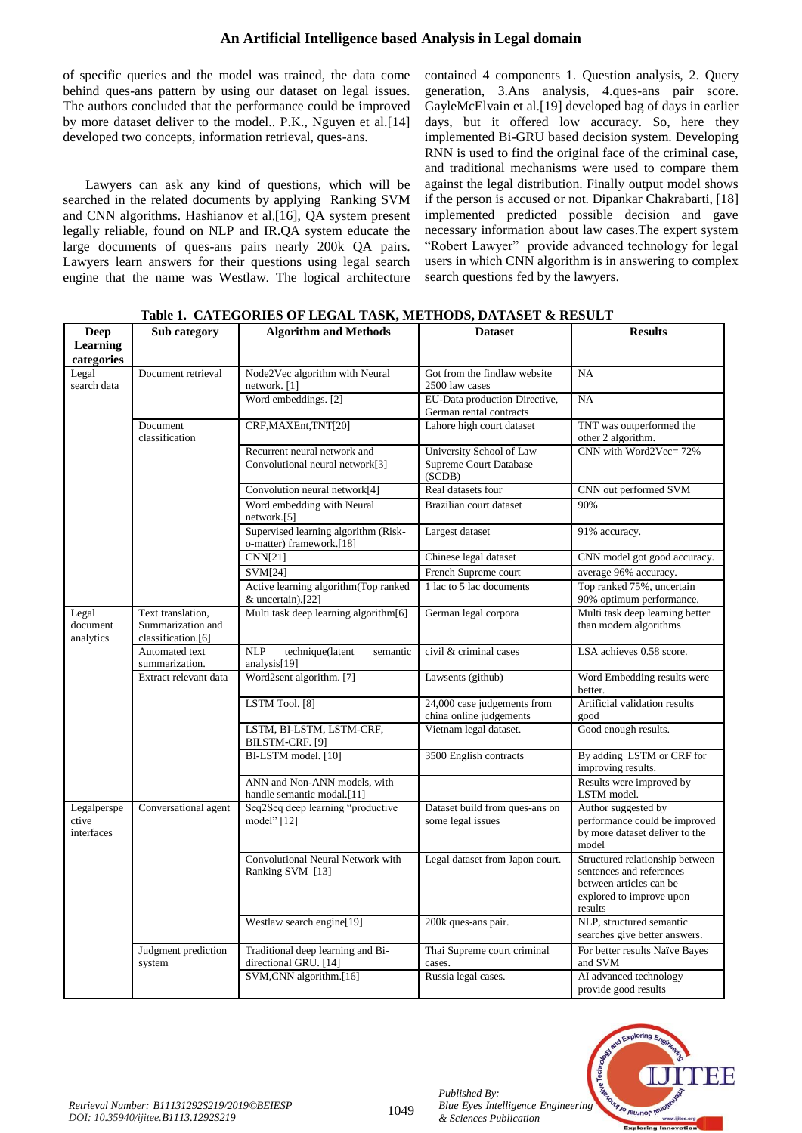# **An Artificial Intelligence based Analysis in Legal domain**

of specific queries and the model was trained, the data come behind ques-ans pattern by using our dataset on legal issues. The authors concluded that the performance could be improved by more dataset deliver to the model.. P.K., Nguyen et al.[14] developed two concepts, information retrieval, ques-ans.

Lawyers can ask any kind of questions, which will be searched in the related documents by applying Ranking SVM and CNN algorithms. Hashianov et al,[16], QA system present legally reliable, found on NLP and IR.QA system educate the large documents of ques-ans pairs nearly 200k QA pairs. Lawyers learn answers for their questions using legal search engine that the name was Westlaw. The logical architecture contained 4 components 1. Question analysis, 2. Query generation, 3.Ans analysis, 4.ques-ans pair score. GayleMcElvain et al.[19] developed bag of days in earlier days, but it offered low accuracy. So, here they implemented Bi-GRU based decision system. Developing RNN is used to find the original face of the criminal case, and traditional mechanisms were used to compare them against the legal distribution. Finally output model shows if the person is accused or not. Dipankar Chakrabarti, [18] implemented predicted possible decision and gave necessary information about law cases.The expert system "Robert Lawyer" provide advanced technology for legal users in which CNN algorithm is in answering to complex search questions fed by the lawyers.

| <b>Deep</b>                        | Sub category                                                 | <b>Algorithm and Methods</b>                                     | <b>Dataset</b>                                                      | <b>Results</b>                                                                                                                |
|------------------------------------|--------------------------------------------------------------|------------------------------------------------------------------|---------------------------------------------------------------------|-------------------------------------------------------------------------------------------------------------------------------|
| <b>Learning</b><br>categories      |                                                              |                                                                  |                                                                     |                                                                                                                               |
| Legal<br>search data               | Document retrieval                                           | Node2Vec algorithm with Neural<br>network. [1]                   | Got from the findlaw website<br>2500 law cases                      | $_{\rm NA}$                                                                                                                   |
|                                    |                                                              | Word embeddings. [2]                                             | EU-Data production Directive,<br>German rental contracts            | NA                                                                                                                            |
|                                    | Document<br>classification                                   | CRF, MAXEnt, TNT[20]                                             | Lahore high court dataset                                           | TNT was outperformed the<br>other 2 algorithm.                                                                                |
|                                    |                                                              | Recurrent neural network and<br>Convolutional neural network[3]  | University School of Law<br><b>Supreme Court Database</b><br>(SCDB) | CNN with Word2Vec=72%                                                                                                         |
|                                    |                                                              | Convolution neural network[4]                                    | Real datasets four                                                  | CNN out performed SVM                                                                                                         |
|                                    |                                                              | Word embedding with Neural<br>network.[5]                        | Brazilian court dataset                                             | 90%                                                                                                                           |
|                                    |                                                              | Supervised learning algorithm (Risk-<br>o-matter) framework.[18] | Largest dataset                                                     | 91% accuracy.                                                                                                                 |
|                                    |                                                              | <b>CNN[21]</b>                                                   | Chinese legal dataset                                               | CNN model got good accuracy.                                                                                                  |
|                                    |                                                              | $\overline{\text{SVM}}[24]$                                      | French Supreme court                                                | average 96% accuracy.                                                                                                         |
|                                    |                                                              | Active learning algorithm(Top ranked<br>& uncertain).[22]        | 1 lac to 5 lac documents                                            | Top ranked 75%, uncertain<br>90% optimum performance.                                                                         |
| Legal<br>document<br>analytics     | Text translation,<br>Summarization and<br>classification.[6] | Multi task deep learning algorithm[6]                            | German legal corpora                                                | Multi task deep learning better<br>than modern algorithms                                                                     |
|                                    | Automated text<br>summarization.                             | <b>NLP</b><br>technique(latent<br>semantic<br>analysis[19]       | civil & criminal cases                                              | LSA achieves 0.58 score.                                                                                                      |
|                                    | Extract relevant data                                        | Word2sent algorithm. [7]                                         | Lawsents (github)                                                   | Word Embedding results were<br>better.                                                                                        |
|                                    |                                                              | LSTM Tool. [8]                                                   | 24,000 case judgements from<br>china online judgements              | Artificial validation results<br>good                                                                                         |
|                                    |                                                              | LSTM, BI-LSTM, LSTM-CRF,<br>BILSTM-CRF. [9]                      | Vietnam legal dataset.                                              | Good enough results.                                                                                                          |
|                                    |                                                              | BI-LSTM model. [10]                                              | 3500 English contracts                                              | By adding LSTM or CRF for<br>improving results.                                                                               |
|                                    |                                                              | ANN and Non-ANN models, with<br>handle semantic modal.[11]       |                                                                     | Results were improved by<br>LSTM model.                                                                                       |
| Legalperspe<br>ctive<br>interfaces | Conversational agent                                         | Seq2Seq deep learning "productive<br>model" [12]                 | Dataset build from ques-ans on<br>some legal issues                 | Author suggested by<br>performance could be improved<br>by more dataset deliver to the<br>model                               |
|                                    |                                                              | Convolutional Neural Network with<br>Ranking SVM [13]            | Legal dataset from Japon court.                                     | Structured relationship between<br>sentences and references<br>between articles can be<br>explored to improve upon<br>results |
|                                    |                                                              | Westlaw search engine[19]                                        | 200k ques-ans pair.                                                 | NLP, structured semantic<br>searches give better answers.                                                                     |
|                                    | Judgment prediction<br>system                                | Traditional deep learning and Bi-<br>directional GRU. [14]       | Thai Supreme court criminal<br>cases.                               | For better results Naïve Bayes<br>and SVM                                                                                     |
|                                    |                                                              | SVM, CNN algorithm. [16]                                         | Russia legal cases.                                                 | AI advanced technology<br>provide good results                                                                                |

**Table 1. CATEGORIES OF LEGAL TASK, METHODS, DATASET & RESULT**



*Published By:*

*& Sciences Publication*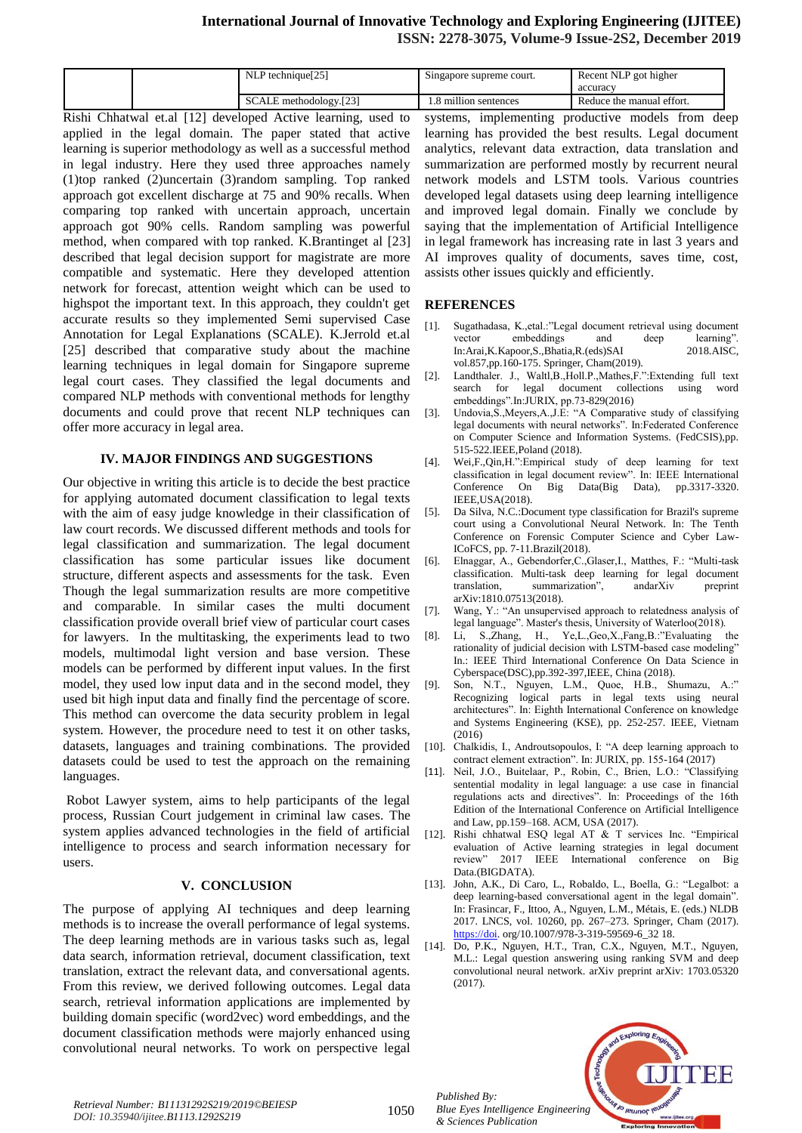# **International Journal of Innovative Technology and Exploring Engineering (IJITEE) ISSN: 2278-3075, Volume-9 Issue-2S2, December 2019**

|  | P technique <sup>[25]</sup><br>-NL+ | Singapore supreme court. | Recent NLP got higher<br>accuracy |
|--|-------------------------------------|--------------------------|-----------------------------------|
|  | SCALE methodology.[23]              | million sentences        | Reduce the manual effort.         |

Rishi Chhatwal et.al [12] developed Active learning, used to applied in the legal domain. The paper stated that active learning is superior methodology as well as a successful method in legal industry. Here they used three approaches namely (1)top ranked (2)uncertain (3)random sampling. Top ranked approach got excellent discharge at 75 and 90% recalls. When comparing top ranked with uncertain approach, uncertain approach got 90% cells. Random sampling was powerful method, when compared with top ranked. K.Brantinget al [23] described that legal decision support for magistrate are more compatible and systematic. Here they developed attention network for forecast, attention weight which can be used to highspot the important text. In this approach, they couldn't get accurate results so they implemented Semi supervised Case Annotation for Legal Explanations (SCALE). K.Jerrold et.al [25] described that comparative study about the machine learning techniques in legal domain for Singapore supreme legal court cases. They classified the legal documents and compared NLP methods with conventional methods for lengthy documents and could prove that recent NLP techniques can offer more accuracy in legal area.

## **IV. MAJOR FINDINGS AND SUGGESTIONS**

Our objective in writing this article is to decide the best practice for applying automated document classification to legal texts with the aim of easy judge knowledge in their classification of law court records. We discussed different methods and tools for legal classification and summarization. The legal document classification has some particular issues like document structure, different aspects and assessments for the task. Even Though the legal summarization results are more competitive and comparable. In similar cases the multi document classification provide overall brief view of particular court cases for lawyers. In the multitasking, the experiments lead to two models, multimodal light version and base version. These models can be performed by different input values. In the first model, they used low input data and in the second model, they used bit high input data and finally find the percentage of score. This method can overcome the data security problem in legal system. However, the procedure need to test it on other tasks, datasets, languages and training combinations. The provided datasets could be used to test the approach on the remaining languages.

Robot Lawyer system, aims to help participants of the legal process, Russian Court judgement in criminal law cases. The system applies advanced technologies in the field of artificial intelligence to process and search information necessary for users.

#### **V. CONCLUSION**

The purpose of applying AI techniques and deep learning methods is to increase the overall performance of legal systems. The deep learning methods are in various tasks such as, legal data search, information retrieval, document classification, text translation, extract the relevant data, and conversational agents. From this review, we derived following outcomes. Legal data search, retrieval information applications are implemented by building domain specific (word2vec) word embeddings, and the document classification methods were majorly enhanced using convolutional neural networks. To work on perspective legal

systems, implementing productive models from deep learning has provided the best results. Legal document analytics, relevant data extraction, data translation and summarization are performed mostly by recurrent neural network models and LSTM tools. Various countries developed legal datasets using deep learning intelligence and improved legal domain. Finally we conclude by saying that the implementation of Artificial Intelligence in legal framework has increasing rate in last 3 years and AI improves quality of documents, saves time, cost, assists other issues quickly and efficiently.

## **REFERENCES**

- [1]. Sugathadasa, K.,etal.:"Legal document retrieval using document vector embeddings and deep learning".<br>In:Arai.K.Kapoor.S..Bhatia.R.(eds)SAI 2018.AISC. In:Arai,K.Kapoor,S.,Bhatia,R.(eds)SAI vol.857,pp.160-175. Springer, Cham(2019).
- Landthaler. J., Waltl,B.,Holl.P.,Mathes,F.":Extending full text search for legal document collections using word embeddings".In:JURIX, pp.73-829(2016)
- [3]. Undovia, S., Meyers, A., J.E: "A Comparative study of classifying legal documents with neural networks". In:Federated Conference on Computer Science and Information Systems. (FedCSIS),pp. 515-522.IEEE,Poland (2018).
- [4]. Wei,F.,Qin,H.":Empirical study of deep learning for text classification in legal document review". In: IEEE International Conference On Big Data(Big Data), pp.3317-3320. IEEE,USA(2018).
- [5]. Da Silva, N.C.:Document type classification for Brazil's supreme court using a Convolutional Neural Network. In: The Tenth Conference on Forensic Computer Science and Cyber Law-ICoFCS, pp. 7-11.Brazil(2018).
- [6]. Elnaggar, A., Gebendorfer,C.,Glaser,I., Matthes, F.: "Multi-task classification. Multi-task deep learning for legal document translation, summarization", andarXiv preprint arXiv:1810.07513(2018).
- [7]. Wang, Y.: "An unsupervised approach to relatedness analysis of legal language". Master's thesis, University of Waterloo(2018).
- [8]. Li, S.,Zhang, H., Ye,L.,Geo,X.,Fang,B.:"Evaluating the rationality of judicial decision with LSTM-based case modeling" In.: IEEE Third International Conference On Data Science in Cyberspace(DSC),pp.392-397,IEEE, China (2018).
- [9]. Son, N.T., Nguyen, L.M., Quoe, H.B., Shumazu, A.:" Recognizing logical parts in legal texts using neural architectures". In: Eighth International Conference on knowledge and Systems Engineering (KSE), pp. 252-257. IEEE, Vietnam (2016)
- [10]. Chalkidis, I., Androutsopoulos, I: "A deep learning approach to contract element extraction". In: JURIX, pp. 155-164 (2017)
- [11]. Neil, J.O., Buitelaar, P., Robin, C., Brien, L.O.: "Classifying sentential modality in legal language: a use case in financial regulations acts and directives". In: Proceedings of the 16th Edition of the International Conference on Artificial Intelligence and Law, pp.159–168. ACM, USA (2017).
- [12]. Rishi chhatwal ESQ legal AT & T services Inc. "Empirical evaluation of Active learning strategies in legal document review" 2017 IEEE International conference on Big Data.(BIGDATA).
- [13]. John, A.K., Di Caro, L., Robaldo, L., Boella, G.: "Legalbot: a deep learning-based conversational agent in the legal domain". In: Frasincar, F., Ittoo, A., Nguyen, L.M., Métais, E. (eds.) NLDB 2017. LNCS, vol. 10260, pp. 267–273. Springer, Cham (2017). [https://doi.](https://doi/)org/10.1007/978-3-319-59569-6\_32 18.
- [14]. Do, P.K., Nguyen, H.T., Tran, C.X., Nguyen, M.T., Nguyen, M.L.: Legal question answering using ranking SVM and deep convolutional neural network. arXiv preprint arXiv: 1703.05320 (2017).

*Published By: Blue Eyes Intelligence Engineering & Sciences Publication* 



1050 *Retrieval Number: B11131292S219/2019©BEIESP DOI: 10.35940/ijitee.B1113.1292S219*